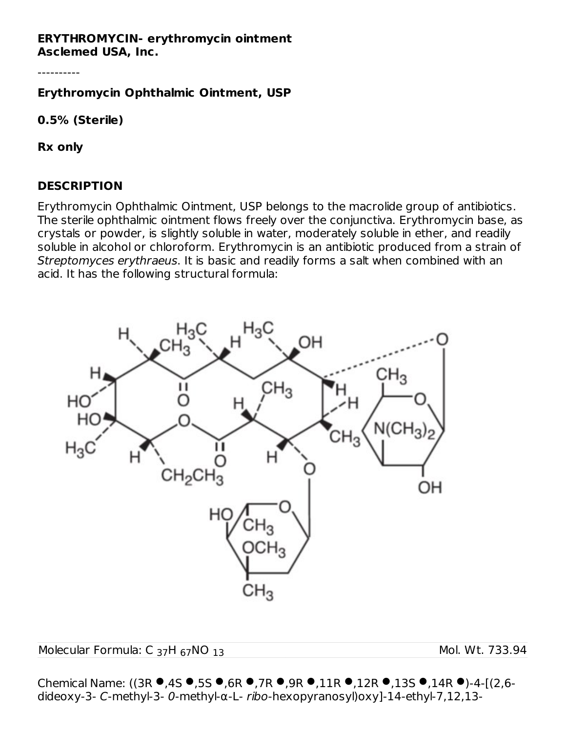#### **ERYTHROMYCIN- erythromycin ointment Asclemed USA, Inc.**

----------

**Erythromycin Ophthalmic Ointment, USP**

**0.5% (Sterile)**

**Rx only**

#### **DESCRIPTION**

Erythromycin Ophthalmic Ointment, USP belongs to the macrolide group of antibiotics. The sterile ophthalmic ointment flows freely over the conjunctiva. Erythromycin base, as crystals or powder, is slightly soluble in water, moderately soluble in ether, and readily soluble in alcohol or chloroform. Erythromycin is an antibiotic produced from a strain of Streptomyces erythraeus. It is basic and readily forms a salt when combined with an acid. It has the following structural formula:



Molecular Formula: C H NO Mol. Wt. 733.94 37 67 13

Chemical Name:  $((3R \bullet 4S \bullet 5S \bullet 6R \bullet 7R \bullet 9R \bullet 11R \bullet 12R \bullet 13S \bullet 14R \bullet -4-(2,6-1)R \bullet 14R \bullet 12R \bullet 12R \bullet 14R \bullet -4)$ dideoxy-3- C-methyl-3- 0-methyl-α-L- ribo-hexopyranosyl)oxy]-14-ethyl-7,12,13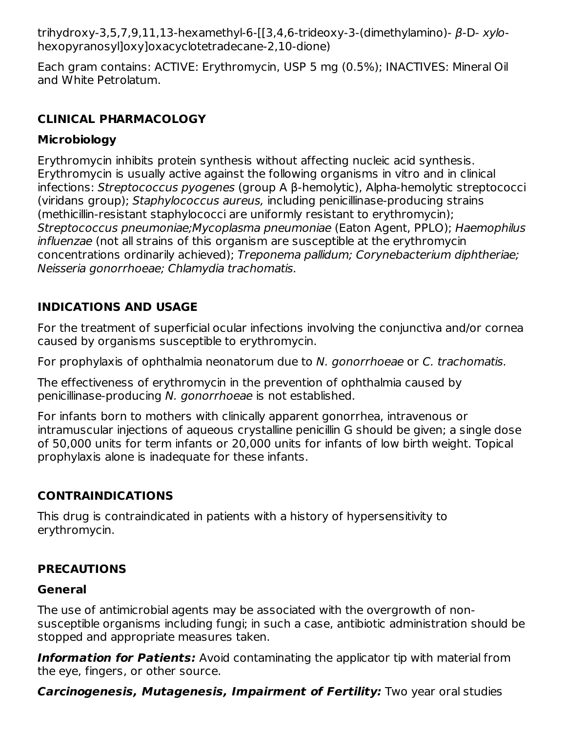trihydroxy-3,5,7,9,11,13-hexamethyl-6-[[3,4,6-trideoxy-3-(dimethylamino)- β-D- xylohexopyranosyl]oxy]oxacyclotetradecane-2,10-dione)

Each gram contains: ACTIVE: Erythromycin, USP 5 mg (0.5%); INACTIVES: Mineral Oil and White Petrolatum.

## **CLINICAL PHARMACOLOGY**

## **Microbiology**

Erythromycin inhibits protein synthesis without affecting nucleic acid synthesis. Erythromycin is usually active against the following organisms in vitro and in clinical infections: Streptococcus pyogenes (group A β-hemolytic), Alpha-hemolytic streptococci (viridans group); Staphylococcus aureus, including penicillinase-producing strains (methicillin-resistant staphylococci are uniformly resistant to erythromycin); Streptococcus pneumoniae;Mycoplasma pneumoniae (Eaton Agent, PPLO); Haemophilus influenzae (not all strains of this organism are susceptible at the erythromycin concentrations ordinarily achieved); Treponema pallidum; Corynebacterium diphtheriae; Neisseria gonorrhoeae; Chlamydia trachomatis.

# **INDICATIONS AND USAGE**

For the treatment of superficial ocular infections involving the conjunctiva and/or cornea caused by organisms susceptible to erythromycin.

For prophylaxis of ophthalmia neonatorum due to N. gonorrhoeae or C. trachomatis.

The effectiveness of erythromycin in the prevention of ophthalmia caused by penicillinase-producing N. gonorrhoeae is not established.

For infants born to mothers with clinically apparent gonorrhea, intravenous or intramuscular injections of aqueous crystalline penicillin G should be given; a single dose of 50,000 units for term infants or 20,000 units for infants of low birth weight. Topical prophylaxis alone is inadequate for these infants.

# **CONTRAINDICATIONS**

This drug is contraindicated in patients with a history of hypersensitivity to erythromycin.

# **PRECAUTIONS**

## **General**

The use of antimicrobial agents may be associated with the overgrowth of nonsusceptible organisms including fungi; in such a case, antibiotic administration should be stopped and appropriate measures taken.

**Information for Patients:** Avoid contaminating the applicator tip with material from the eye, fingers, or other source.

**Carcinogenesis, Mutagenesis, Impairment of Fertility:** Two year oral studies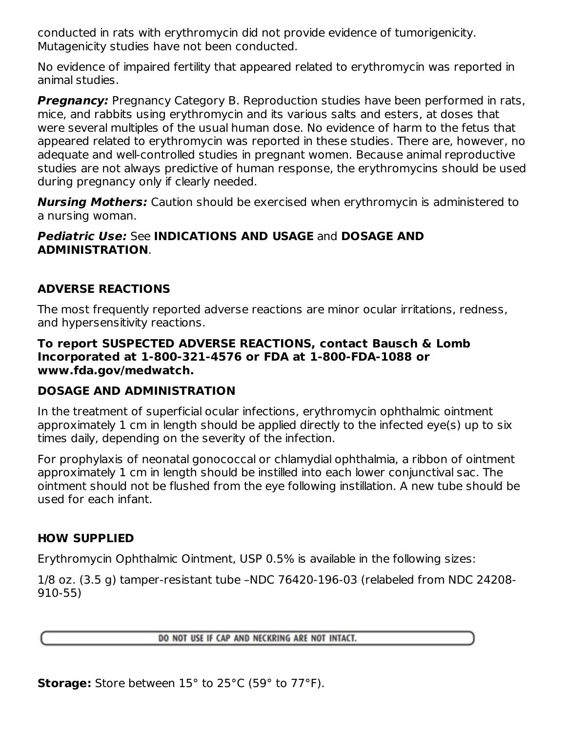conducted in rats with erythromycin did not provide evidence of tumorigenicity. Mutagenicity studies have not been conducted.

No evidence of impaired fertility that appeared related to erythromycin was reported in animal studies.

**Pregnancy:** Pregnancy Category B. Reproduction studies have been performed in rats, mice, and rabbits using erythromycin and its various salts and esters, at doses that were several multiples of the usual human dose. No evidence of harm to the fetus that appeared related to erythromycin was reported in these studies. There are, however, no adequate and well-controlled studies in pregnant women. Because animal reproductive studies are not always predictive of human response, the erythromycins should be used during pregnancy only if clearly needed.

**Nursing Mothers:** Caution should be exercised when erythromycin is administered to a nursing woman.

#### **Pediatric Use:** See **INDICATIONS AND USAGE** and **DOSAGE AND ADMINISTRATION**.

### **ADVERSE REACTIONS**

The most frequently reported adverse reactions are minor ocular irritations, redness, and hypersensitivity reactions.

#### **To report SUSPECTED ADVERSE REACTIONS, contact Bausch & Lomb Incorporated at 1-800-321-4576 or FDA at 1-800-FDA-1088 or www.fda.gov/medwatch.**

### **DOSAGE AND ADMINISTRATION**

In the treatment of superficial ocular infections, erythromycin ophthalmic ointment approximately 1 cm in length should be applied directly to the infected eye(s) up to six times daily, depending on the severity of the infection.

For prophylaxis of neonatal gonococcal or chlamydial ophthalmia, a ribbon of ointment approximately 1 cm in length should be instilled into each lower conjunctival sac. The ointment should not be flushed from the eye following instillation. A new tube should be used for each infant.

### **HOW SUPPLIED**

Erythromycin Ophthalmic Ointment, USP 0.5% is available in the following sizes:

1/8 oz. (3.5 g) tamper-resistant tube –NDC 76420-196-03 (relabeled from NDC 24208- 910-55)

DO NOT USE IF CAP AND NECKRING ARE NOT INTACT.

**Storage:** Store between 15° to 25°C (59° to 77°F).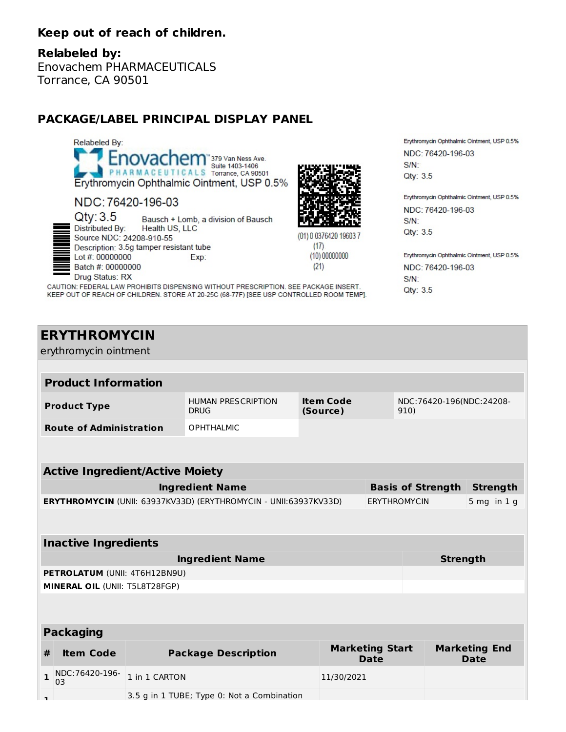#### **Keep out of reach of children.**

#### **Relabeled by:**

Enovachem PHARMACEUTICALS Torrance, CA 90501

### **PACKAGE/LABEL PRINCIPAL DISPLAY PANEL**



NDC: 76420-196-03



**ERYTHROMYCIN**

 $Qty:3.5$ Bausch + Lomb, a division of Bausch Distributed By: Health US, LLC Source NDC: 24208-910-55 Description: 3.5g tamper resistant tube Lot #: 00000000 Exp: Batch #: 00000000 Drug Status: RX

CAUTION: FEDERAL LAW PROHIBITS DISPENSING WITHOUT PRESCRIPTION. SEE PACKAGE INSERT. KEEP OUT OF REACH OF CHILDREN. STORE AT 20-25C (68-77F) [SEE USP CONTROLLED ROOM TEMP]. Erythromycin Ophthalmic Ointment, USP 0.5% NDC: 76420-196-03  $S/N$ Qtv: 3.5

Erythromycin Ophthalmic Ointment, USP 0.5% NDC: 76420-196-03  $S/N$ : Qty: 3.5

Erythromycin Ophthalmic Ointment, USP 0.5% NDC: 76420-196-03  $S/N$ : Qty: 3.5

### erythromycin ointment **Product Information Product Type** HUMAN PRESCRIPTION **DRUG Item Code (Source)** NDC:76420-196(NDC:24208- 910) **Route of Administration** OPHTHALMIC **Active Ingredient/Active Moiety Ingredient Name Basis of Strength Strength ERYTHROMYCIN** (UNII: 63937KV33D) (ERYTHROMYCIN - UNII:63937KV33D) ERYTHROMYCIN 5 mg in 1 g **Inactive Ingredients Ingredient Name Strength PETROLATUM** (UNII: 4T6H12BN9U) **MINERAL OIL** (UNII: T5L8T28FGP) **Packaging # Item Code Package Description Marketing Start Date Marketing End Date**

(01) 0 0376420 19603 7

 $(10) 00000000$ 

 $(17)$ 

 $(21)$ 

|  |    |                                            | Date       | <b>Date</b> |
|--|----|--------------------------------------------|------------|-------------|
|  | 03 | 1 NDC:76420-196- 1 in 1 CARTON             | 11/30/2021 |             |
|  |    | 3.5 g in 1 TUBE; Type 0: Not a Combination |            |             |